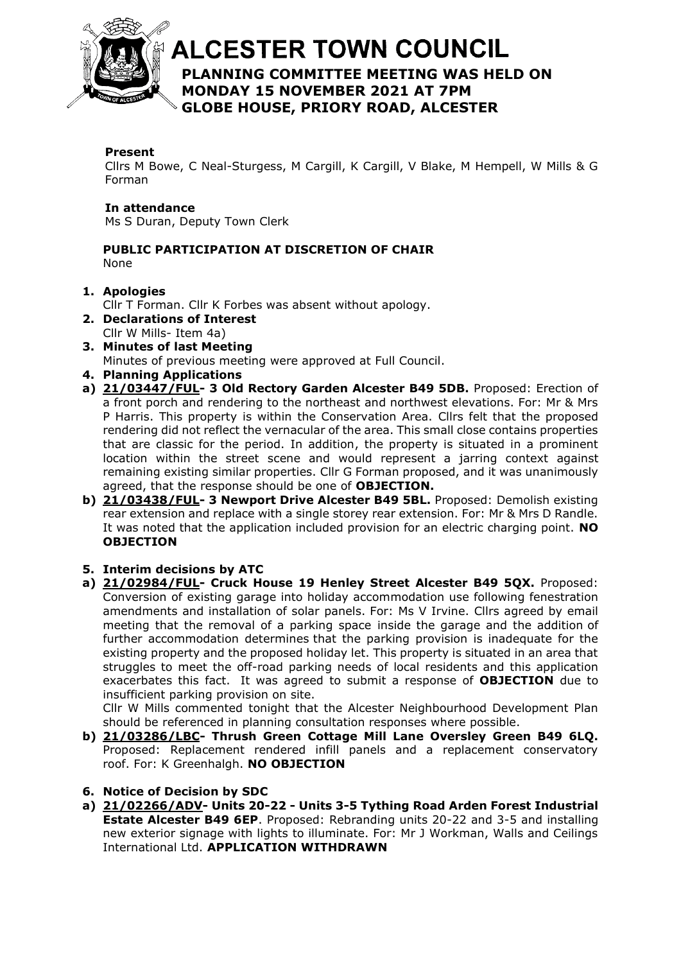

# **ALCESTER TOWN COUNCIL PLANNING COMMITTEE MEETING WAS HELD ON**  At the discretion of the Chair **MONDAY 15 NOVEMBER 2021 AT 7PM GLOBE HOUSE, PRIORY ROAD, ALCESTER**

### **Present**

Cllrs M Bowe, C Neal-Sturgess, M Cargill, K Cargill, V Blake, M Hempell, W Mills & G Forman

#### **In attendance**

Ms S Duran, Deputy Town Clerk

#### **PUBLIC PARTICIPATION AT DISCRETION OF CHAIR** None

### **1. Apologies**

Cllr T Forman. Cllr K Forbes was absent without apology.

- **2. Declarations of Interest** Cllr W Mills- Item 4a)
- **3. Minutes of last Meeting**

Minutes of previous meeting were approved at Full Council.

- **4. Planning Applications**
- **a) [21/03447/FUL-](https://apps.stratford.gov.uk/eplanning/AppDetail.aspx?appkey=R1N3MLPM0IH00) 3 Old Rectory Garden Alcester B49 5DB.** Proposed: Erection of a front porch and rendering to the northeast and northwest elevations. For: Mr & Mrs P Harris. This property is within the Conservation Area. Cllrs felt that the proposed rendering did not reflect the vernacular of the area. This small close contains properties that are classic for the period. In addition, the property is situated in a prominent location within the street scene and would represent a jarring context against remaining existing similar properties. Cllr G Forman proposed, and it was unanimously agreed, that the response should be one of **OBJECTION.**
- **b) [21/03438/FUL-](https://apps.stratford.gov.uk/eplanning/AppDetail.aspx?appkey=R1MRTQPMIUY00) 3 Newport Drive Alcester B49 5BL.** Proposed: Demolish existing rear extension and replace with a single storey rear extension. For: Mr & Mrs D Randle. It was noted that the application included provision for an electric charging point. **NO OBJECTION**

### **5. Interim decisions by ATC**

**a) [21/02984/FUL-](https://apps.stratford.gov.uk/eplanning/AppDetail.aspx?appkey=QZIXAAPMI0200) Cruck House 19 Henley Street Alcester B49 5QX.** Proposed: Conversion of existing garage into holiday accommodation use following fenestration amendments and installation of solar panels. For: Ms V Irvine. Cllrs agreed by email meeting that the removal of a parking space inside the garage and the addition of further accommodation determines that the parking provision is inadequate for the existing property and the proposed holiday let. This property is situated in an area that struggles to meet the off-road parking needs of local residents and this application exacerbates this fact. It was agreed to submit a response of **OBJECTION** due to insufficient parking provision on site.

Cllr W Mills commented tonight that the Alcester Neighbourhood Development Plan should be referenced in planning consultation responses where possible.

- **b) [21/03286/LBC-](https://apps.stratford.gov.uk/eplanning/AppDetail.aspx?appkey=R0WXANPMLGT00) Thrush Green Cottage Mill Lane Oversley Green B49 6LQ.** Proposed: Replacement rendered infill panels and a replacement conservatory roof. For: K Greenhalgh. **NO OBJECTION**
- **6. Notice of Decision by SDC**
- **a) [21/02266/ADV-](https://apps.stratford.gov.uk/eplanning/AppDetail.aspx?appkey=QW507CPM0GL00) Units 20-22 - Units 3-5 Tything Road Arden Forest Industrial Estate Alcester B49 6EP**. Proposed: Rebranding units 20-22 and 3-5 and installing new exterior signage with lights to illuminate. For: Mr J Workman, Walls and Ceilings International Ltd. **APPLICATION WITHDRAWN**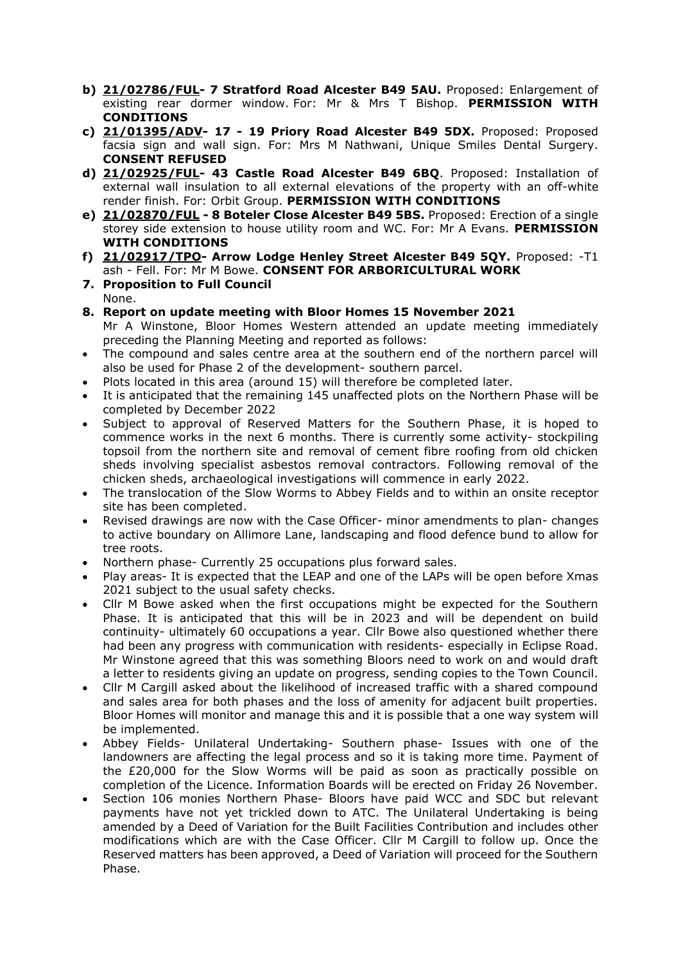- **b) [21/02786/FUL-](https://apps.stratford.gov.uk/eplanning/AppDetail.aspx?appkey=QYPLU4PMJ9600) 7 Stratford Road Alcester B49 5AU.** Proposed: Enlargement of existing rear dormer window. For: Mr & Mrs T Bishop. **PERMISSION WITH CONDITIONS**
- **c) [21/01395/ADV-](https://apps.stratford.gov.uk/eplanning/AppDetail.aspx?appkey=QS66TAPMH4C00) 17 - 19 Priory Road Alcester B49 5DX.** Proposed: Proposed facsia sign and wall sign. For: Mrs M Nathwani, Unique Smiles Dental Surgery. **CONSENT REFUSED**
- **d) [21/02925/FUL-](https://apps.stratford.gov.uk/eplanning/AppDetail.aspx?appkey=QZD4ZNPMGGY00) 43 Castle Road Alcester B49 6BQ**. Proposed: Installation of external wall insulation to all external elevations of the property with an off-white render finish. For: Orbit Group. **PERMISSION WITH CONDITIONS**
- **e) [21/02870/FUL](https://apps.stratford.gov.uk/eplanning/AppDetail.aspx?appkey=QZ2EWHPMM0Q00) - 8 Boteler Close Alcester B49 5BS.** Proposed: Erection of a single storey side extension to house utility room and WC. For: Mr A Evans. **PERMISSION WITH CONDITIONS**
- **f) [21/02917/TPO-](https://apps.stratford.gov.uk/eplanning/AppDetail.aspx?appkey=QZD298PMGDI00) Arrow Lodge Henley Street Alcester B49 5QY.** Proposed: -T1 ash - Fell. For: Mr M Bowe. **CONSENT FOR ARBORICULTURAL WORK**
- **7. Proposition to Full Council** None.
- **8. Report on update meeting with Bloor Homes 15 November 2021** Mr A Winstone, Bloor Homes Western attended an update meeting immediately preceding the Planning Meeting and reported as follows:
- The compound and sales centre area at the southern end of the northern parcel will also be used for Phase 2 of the development- southern parcel.
- Plots located in this area (around 15) will therefore be completed later.
- It is anticipated that the remaining 145 unaffected plots on the Northern Phase will be completed by December 2022
- Subject to approval of Reserved Matters for the Southern Phase, it is hoped to commence works in the next 6 months. There is currently some activity- stockpiling topsoil from the northern site and removal of cement fibre roofing from old chicken sheds involving specialist asbestos removal contractors. Following removal of the chicken sheds, archaeological investigations will commence in early 2022.
- The translocation of the Slow Worms to Abbey Fields and to within an onsite receptor site has been completed.
- Revised drawings are now with the Case Officer- minor amendments to plan- changes to active boundary on Allimore Lane, landscaping and flood defence bund to allow for tree roots.
- Northern phase- Currently 25 occupations plus forward sales.
- Play areas- It is expected that the LEAP and one of the LAPs will be open before Xmas 2021 subject to the usual safety checks.
- Cllr M Bowe asked when the first occupations might be expected for the Southern Phase. It is anticipated that this will be in 2023 and will be dependent on build continuity- ultimately 60 occupations a year. Cllr Bowe also questioned whether there had been any progress with communication with residents- especially in Eclipse Road. Mr Winstone agreed that this was something Bloors need to work on and would draft a letter to residents giving an update on progress, sending copies to the Town Council.
- Cllr M Cargill asked about the likelihood of increased traffic with a shared compound and sales area for both phases and the loss of amenity for adjacent built properties. Bloor Homes will monitor and manage this and it is possible that a one way system will be implemented.
- Abbey Fields- Unilateral Undertaking- Southern phase- Issues with one of the landowners are affecting the legal process and so it is taking more time. Payment of the £20,000 for the Slow Worms will be paid as soon as practically possible on completion of the Licence. Information Boards will be erected on Friday 26 November.
- Section 106 monies Northern Phase- Bloors have paid WCC and SDC but relevant payments have not yet trickled down to ATC. The Unilateral Undertaking is being amended by a Deed of Variation for the Built Facilities Contribution and includes other modifications which are with the Case Officer. Cllr M Cargill to follow up. Once the Reserved matters has been approved, a Deed of Variation will proceed for the Southern Phase.